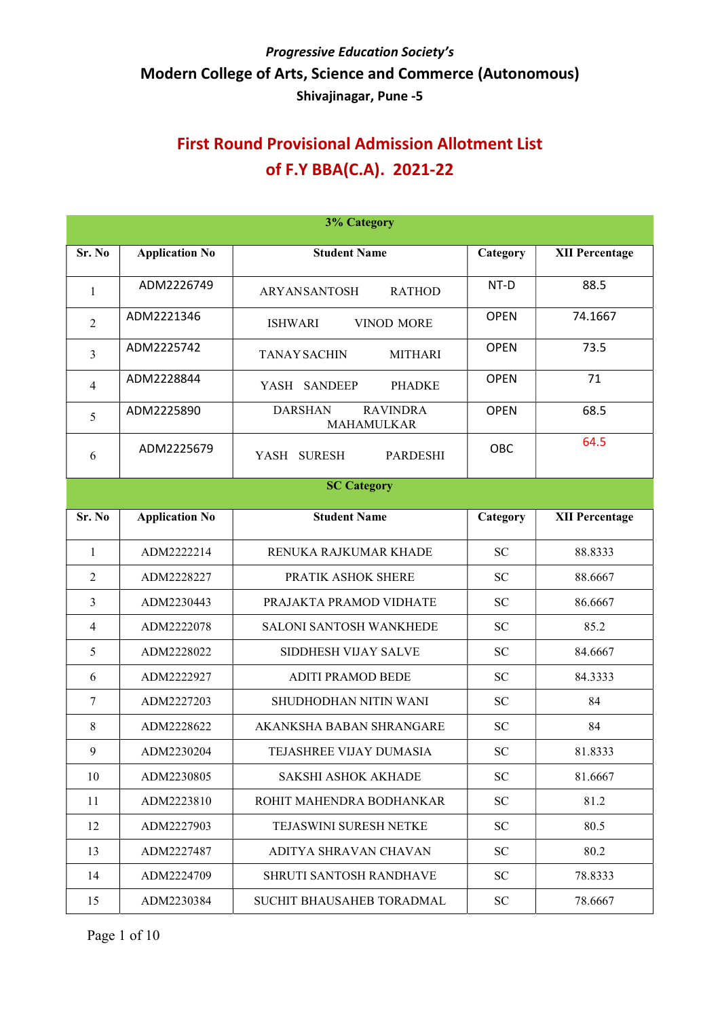| <b>3% Category</b> |                       |                                                 |             |                       |  |
|--------------------|-----------------------|-------------------------------------------------|-------------|-----------------------|--|
| Sr. No             | <b>Application No</b> | <b>Student Name</b>                             | Category    | <b>XII Percentage</b> |  |
| $\mathbf{1}$       | ADM2226749            | ARYANSANTOSH<br><b>RATHOD</b>                   | NT-D        | 88.5                  |  |
| $\overline{2}$     | ADM2221346            | VINOD MORE<br><b>ISHWARI</b>                    | <b>OPEN</b> | 74.1667               |  |
| 3                  | ADM2225742            | <b>MITHARI</b><br><b>TANAY SACHIN</b>           | <b>OPEN</b> | 73.5                  |  |
| $\overline{4}$     | ADM2228844            | <b>PHADKE</b><br>YASH<br><b>SANDEEP</b>         | <b>OPEN</b> | 71                    |  |
| 5                  | ADM2225890            | <b>DARSHAN</b><br><b>RAVINDRA</b><br>MAHAMULKAR | <b>OPEN</b> | 68.5                  |  |
| 6                  | ADM2225679            | YASH SURESH<br><b>PARDESHI</b>                  | OBC         | 64.5                  |  |
|                    |                       | <b>SC Category</b>                              |             |                       |  |
| Sr. No             | <b>Application No</b> | <b>Student Name</b>                             | Category    | <b>XII Percentage</b> |  |
| $\mathbf{1}$       | ADM2222214            | RENUKA RAJKUMAR KHADE                           | <b>SC</b>   | 88.8333               |  |
| $\overline{2}$     | ADM2228227            | PRATIK ASHOK SHERE                              | <b>SC</b>   | 88.6667               |  |
| 3                  | ADM2230443            | PRAJAKTA PRAMOD VIDHATE                         | <b>SC</b>   | 86.6667               |  |
| 4                  | ADM2222078            | SALONI SANTOSH WANKHEDE                         | <b>SC</b>   | 85.2                  |  |
| 5                  | ADM2228022            | SIDDHESH VIJAY SALVE                            | <b>SC</b>   | 84.6667               |  |
| 6                  | ADM2222927            | <b>ADITI PRAMOD BEDE</b>                        | <b>SC</b>   | 84.3333               |  |
| 7                  | ADM2227203            | SHUDHODHAN NITIN WANI                           | <b>SC</b>   | 84                    |  |
| 8                  | ADM2228622            | AKANKSHA BABAN SHRANGARE                        | <b>SC</b>   | 84                    |  |
| 9                  | ADM2230204            | TEJASHREE VIJAY DUMASIA                         | <b>SC</b>   | 81.8333               |  |
| 10                 | ADM2230805            | <b>SAKSHI ASHOK AKHADE</b>                      | <b>SC</b>   | 81.6667               |  |
| 11                 | ADM2223810            | ROHIT MAHENDRA BODHANKAR                        | ${\rm SC}$  | 81.2                  |  |
| 12                 | ADM2227903            | <b>TEJASWINI SURESH NETKE</b>                   | <b>SC</b>   | 80.5                  |  |
| 13                 | ADM2227487            | ADITYA SHRAVAN CHAVAN                           | <b>SC</b>   | 80.2                  |  |
| 14                 | ADM2224709            | <b>SHRUTI SANTOSH RANDHAVE</b>                  | SC          | 78.8333               |  |
| 15                 | ADM2230384            | SUCHIT BHAUSAHEB TORADMAL                       | <b>SC</b>   | 78.6667               |  |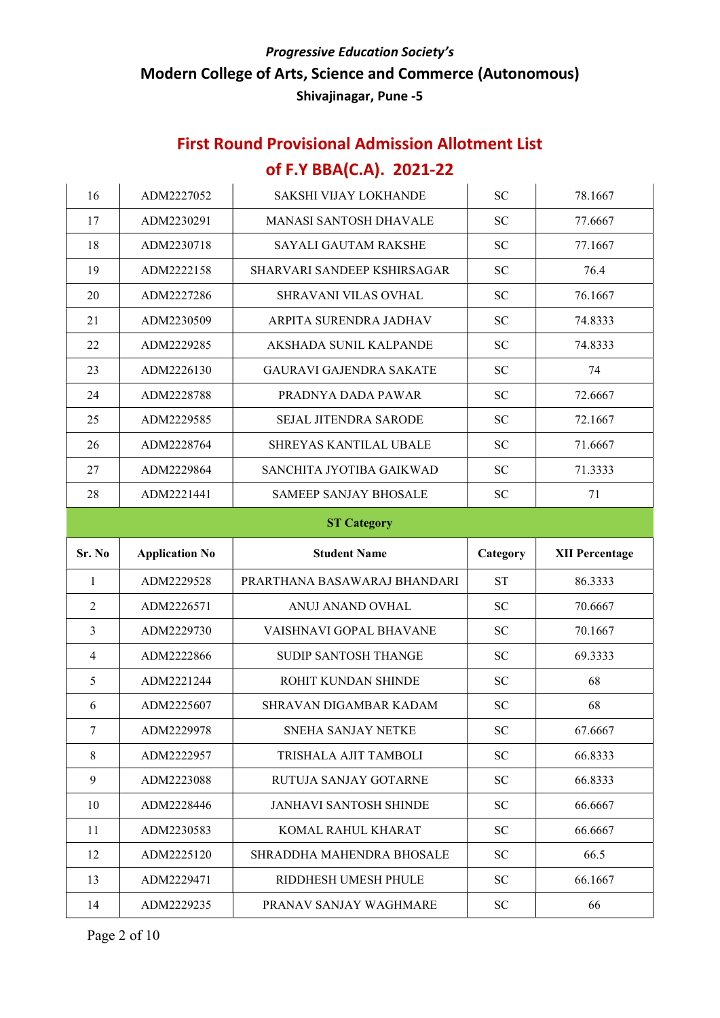| 16             | ADM2227052            | <b>SAKSHI VIJAY LOKHANDE</b>   | <b>SC</b>  | 78.1667               |  |  |
|----------------|-----------------------|--------------------------------|------------|-----------------------|--|--|
| 17             | ADM2230291            | <b>MANASI SANTOSH DHAVALE</b>  | <b>SC</b>  | 77.6667               |  |  |
| 18             | ADM2230718            | <b>SAYALI GAUTAM RAKSHE</b>    | <b>SC</b>  | 77.1667               |  |  |
| 19             | ADM2222158            | SHARVARI SANDEEP KSHIRSAGAR    | <b>SC</b>  | 76.4                  |  |  |
| 20             | ADM2227286            | SHRAVANI VILAS OVHAL           | <b>SC</b>  | 76.1667               |  |  |
| 21             | ADM2230509            | ARPITA SURENDRA JADHAV         | <b>SC</b>  | 74.8333               |  |  |
| 22             | ADM2229285            | AKSHADA SUNIL KALPANDE         | <b>SC</b>  | 74.8333               |  |  |
| 23             | ADM2226130            | <b>GAURAVI GAJENDRA SAKATE</b> | <b>SC</b>  | 74                    |  |  |
| 24             | ADM2228788            | PRADNYA DADA PAWAR             | <b>SC</b>  | 72.6667               |  |  |
| 25             | ADM2229585            | <b>SEJAL JITENDRA SARODE</b>   | <b>SC</b>  | 72.1667               |  |  |
| 26             | ADM2228764            | <b>SHREYAS KANTILAL UBALE</b>  | <b>SC</b>  | 71.6667               |  |  |
| 27             | ADM2229864            | SANCHITA JYOTIBA GAIKWAD       | <b>SC</b>  | 71.3333               |  |  |
| 28             | ADM2221441            | <b>SAMEEP SANJAY BHOSALE</b>   | <b>SC</b>  | 71                    |  |  |
|                | <b>ST Category</b>    |                                |            |                       |  |  |
|                |                       |                                |            |                       |  |  |
| Sr. No         | <b>Application No</b> | <b>Student Name</b>            | Category   | <b>XII Percentage</b> |  |  |
| 1              | ADM2229528            | PRARTHANA BASAWARAJ BHANDARI   | <b>ST</b>  | 86.3333               |  |  |
| $\overline{2}$ | ADM2226571            | ANUJ ANAND OVHAL               | <b>SC</b>  | 70.6667               |  |  |
| $\mathfrak{Z}$ | ADM2229730            | VAISHNAVI GOPAL BHAVANE        | <b>SC</b>  | 70.1667               |  |  |
| $\overline{4}$ | ADM2222866            | <b>SUDIP SANTOSH THANGE</b>    | <b>SC</b>  | 69.3333               |  |  |
| 5              | ADM2221244            | ROHIT KUNDAN SHINDE            | <b>SC</b>  | 68                    |  |  |
| 6              | ADM2225607            | SHRAVAN DIGAMBAR KADAM         | <b>SC</b>  | 68                    |  |  |
| $\tau$         | ADM2229978            | SNEHA SANJAY NETKE             | <b>SC</b>  | 67.6667               |  |  |
| 8              | ADM2222957            | TRISHALA AJIT TAMBOLI          | <b>SC</b>  | 66.8333               |  |  |
| 9              | ADM2223088            | RUTUJA SANJAY GOTARNE          | SC         | 66.8333               |  |  |
| 10             | ADM2228446            | <b>JANHAVI SANTOSH SHINDE</b>  | ${\rm SC}$ | 66.6667               |  |  |
| 11             | ADM2230583            | KOMAL RAHUL KHARAT             | ${\rm SC}$ | 66.6667               |  |  |
| 12             | ADM2225120            | SHRADDHA MAHENDRA BHOSALE      | SC         | 66.5                  |  |  |
| 13             | ADM2229471            | RIDDHESH UMESH PHULE           | SC         | 66.1667               |  |  |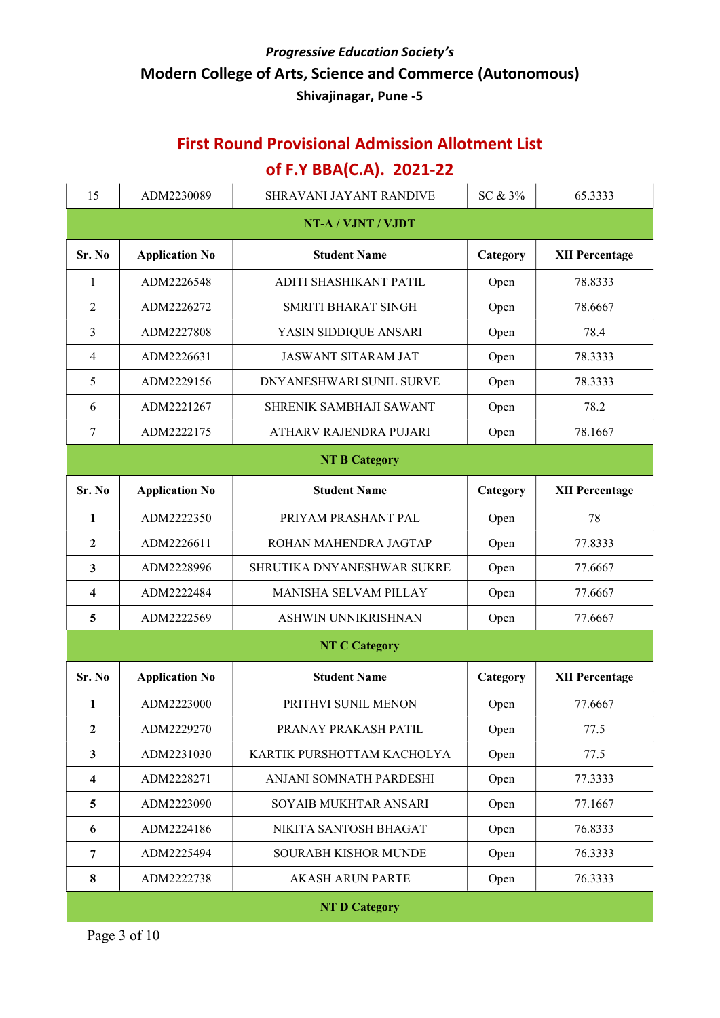# First Round Provisional Admission Allotment List

## of F.Y BBA(C.A). 2021-22

| 15                      | ADM2230089            | SHRAVANI JAYANT RANDIVE        | SC & 3%  | 65.3333               |  |
|-------------------------|-----------------------|--------------------------------|----------|-----------------------|--|
| NT-A / VJNT / VJDT      |                       |                                |          |                       |  |
| Sr. No                  | <b>Application No</b> | <b>Student Name</b>            | Category | <b>XII Percentage</b> |  |
| $\mathbf{1}$            | ADM2226548            | ADITI SHASHIKANT PATIL<br>Open |          | 78.8333               |  |
| 2                       | ADM2226272            | SMRITI BHARAT SINGH            | Open     | 78.6667               |  |
| 3                       | ADM2227808            | YASIN SIDDIQUE ANSARI          | Open     | 78.4                  |  |
| $\overline{4}$          | ADM2226631            | <b>JASWANT SITARAM JAT</b>     | Open     | 78.3333               |  |
| 5                       | ADM2229156            | DNYANESHWARI SUNIL SURVE       | Open     | 78.3333               |  |
| 6                       | ADM2221267            | SHRENIK SAMBHAJI SAWANT        | Open     | 78.2                  |  |
| $\tau$                  | ADM2222175            | ATHARV RAJENDRA PUJARI         | Open     | 78.1667               |  |
|                         |                       | <b>NT B Category</b>           |          |                       |  |
| Sr. No                  | <b>Application No</b> | <b>Student Name</b>            | Category | <b>XII Percentage</b> |  |
| 1                       | ADM2222350            | PRIYAM PRASHANT PAL            | Open     | 78                    |  |
| $\mathbf{2}$            | ADM2226611            | ROHAN MAHENDRA JAGTAP          | Open     | 77.8333               |  |
| 3                       | ADM2228996            | SHRUTIKA DNYANESHWAR SUKRE     | Open     | 77.6667               |  |
| 4                       | ADM2222484            | MANISHA SELVAM PILLAY          | Open     | 77.6667               |  |
| 5                       | ADM2222569            | ASHWIN UNNIKRISHNAN<br>Open    |          | 77.6667               |  |
|                         |                       | <b>NT C Category</b>           |          |                       |  |
| Sr. No                  | <b>Application No</b> | <b>Student Name</b>            | Category | <b>XII Percentage</b> |  |
| 1                       | ADM2223000            | PRITHVI SUNIL MENON            | Open     | 77.6667               |  |
| $\boldsymbol{2}$        | ADM2229270            | PRANAY PRAKASH PATIL           | Open     | 77.5                  |  |
| $\mathbf{3}$            | ADM2231030            | KARTIK PURSHOTTAM KACHOLYA     | Open     | 77.5                  |  |
| $\overline{\mathbf{4}}$ | ADM2228271            | ANJANI SOMNATH PARDESHI        | Open     | 77.3333               |  |
| 5                       | ADM2223090            | SOYAIB MUKHTAR ANSARI          | Open     | 77.1667               |  |
| 6                       | ADM2224186            | NIKITA SANTOSH BHAGAT          | Open     | 76.8333               |  |
| 7                       | ADM2225494            | <b>SOURABH KISHOR MUNDE</b>    | Open     | 76.3333               |  |
| 8                       | ADM2222738            | <b>AKASH ARUN PARTE</b>        | Open     | 76.3333               |  |
| <b>NT D Category</b>    |                       |                                |          |                       |  |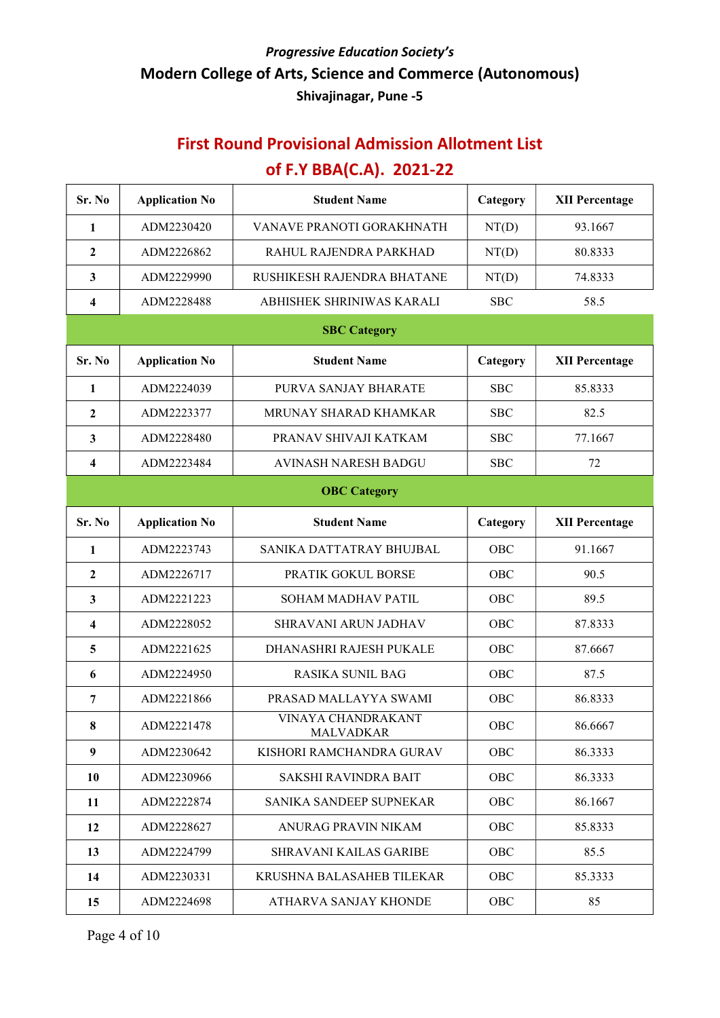| Sr. No       | <b>Application No</b> | <b>Student Name</b>                    | Category   | <b>XII Percentage</b> |
|--------------|-----------------------|----------------------------------------|------------|-----------------------|
| 1            | ADM2230420            | VANAVE PRANOTI GORAKHNATH              | NT(D)      | 93.1667               |
| $\mathbf{2}$ | ADM2226862            | RAHUL RAJENDRA PARKHAD                 | NT(D)      | 80.8333               |
| $\mathbf{3}$ | ADM2229990            | RUSHIKESH RAJENDRA BHATANE             | NT(D)      | 74.8333               |
| 4            | ADM2228488            | ABHISHEK SHRINIWAS KARALI              | <b>SBC</b> | 58.5                  |
|              |                       | <b>SBC Category</b>                    |            |                       |
| Sr. No       | <b>Application No</b> | <b>Student Name</b>                    | Category   | <b>XII Percentage</b> |
| 1            | ADM2224039            | PURVA SANJAY BHARATE                   | <b>SBC</b> | 85.8333               |
| $\mathbf{2}$ | ADM2223377            | MRUNAY SHARAD KHAMKAR                  | <b>SBC</b> | 82.5                  |
| 3            | ADM2228480            | PRANAV SHIVAJI KATKAM                  | <b>SBC</b> | 77.1667               |
| 4            | ADM2223484            | AVINASH NARESH BADGU                   | <b>SBC</b> | 72                    |
|              |                       | <b>OBC</b> Category                    |            |                       |
| Sr. No       | <b>Application No</b> | <b>Student Name</b>                    | Category   | <b>XII Percentage</b> |
| 1            | ADM2223743            | SANIKA DATTATRAY BHUJBAL               | OBC        | 91.1667               |
| $\mathbf{2}$ | ADM2226717            | PRATIK GOKUL BORSE                     | OBC        | 90.5                  |
| 3            | ADM2221223            | SOHAM MADHAV PATIL                     | OBC        | 89.5                  |
| 4            | ADM2228052            | SHRAVANI ARUN JADHAV                   | OBC        | 87.8333               |
| 5            | ADM2221625            | DHANASHRI RAJESH PUKALE                | OBC        | 87.6667               |
| 6            | ADM2224950            | <b>RASIKA SUNIL BAG</b>                | OBC        | 87.5                  |
| 7            | ADM2221866            | PRASAD MALLAYYA SWAMI                  | OBC        | 86.8333               |
| 8            | ADM2221478            | VINAYA CHANDRAKANT<br><b>MALVADKAR</b> | OBC        | 86.6667               |
| 9            | ADM2230642            | KISHORI RAMCHANDRA GURAV               | OBC        | 86.3333               |
| 10           | ADM2230966            | <b>SAKSHI RAVINDRA BAIT</b>            | OBC        | 86.3333               |
| 11           | ADM2222874            | SANIKA SANDEEP SUPNEKAR                | OBC        | 86.1667               |
| 12           | ADM2228627            | ANURAG PRAVIN NIKAM                    | OBC        | 85.8333               |
| 13           | ADM2224799            | <b>SHRAVANI KAILAS GARIBE</b>          | OBC        | 85.5                  |
| 14           | ADM2230331            | KRUSHNA BALASAHEB TILEKAR              | OBC        | 85.3333               |
| 15           | ADM2224698            | ATHARVA SANJAY KHONDE                  | OBC        | 85                    |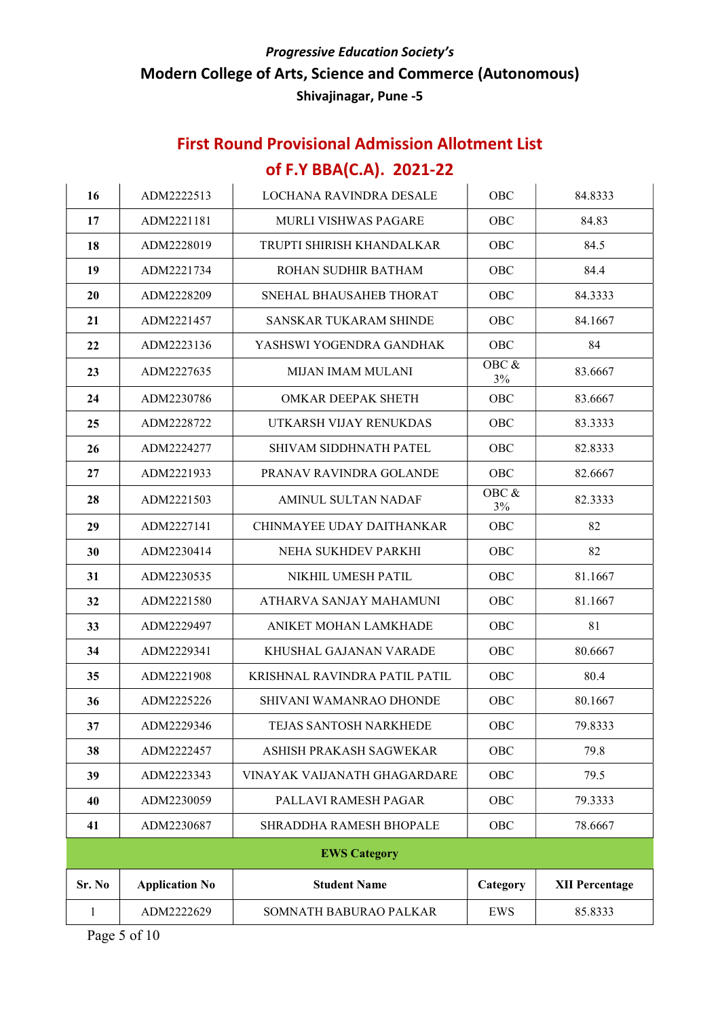| 16        | ADM2222513            | LOCHANA RAVINDRA DESALE                   | OBC         | 84.8333               |
|-----------|-----------------------|-------------------------------------------|-------------|-----------------------|
| 17        | ADM2221181            | OBC<br><b>MURLI VISHWAS PAGARE</b>        |             | 84.83                 |
| 18        | ADM2228019            | TRUPTI SHIRISH KHANDALKAR                 | OBC         | 84.5                  |
| 19        | ADM2221734            | ROHAN SUDHIR BATHAM                       | OBC         | 84.4                  |
| <b>20</b> | ADM2228209            | SNEHAL BHAUSAHEB THORAT                   | OBC         | 84.3333               |
| 21        | ADM2221457            | SANSKAR TUKARAM SHINDE                    | OBC         | 84.1667               |
| 22        | ADM2223136            | YASHSWI YOGENDRA GANDHAK                  | OBC         | 84                    |
| 23        | ADM2227635            | MIJAN IMAM MULANI                         | OBC &<br>3% | 83.6667               |
| 24        | ADM2230786            | OMKAR DEEPAK SHETH                        | <b>OBC</b>  | 83.6667               |
| 25        | ADM2228722            | UTKARSH VIJAY RENUKDAS                    | OBC         | 83.3333               |
| 26        | ADM2224277            | SHIVAM SIDDHNATH PATEL                    | OBC         | 82.8333               |
| 27        | ADM2221933            | PRANAV RAVINDRA GOLANDE                   | OBC         | 82.6667               |
| 28        | ADM2221503            | OBC &<br><b>AMINUL SULTAN NADAF</b><br>3% |             | 82.3333               |
| 29        | ADM2227141            | CHINMAYEE UDAY DAITHANKAR                 | OBC         | 82                    |
| 30        | ADM2230414            | NEHA SUKHDEV PARKHI                       | OBC         | 82                    |
| 31        | ADM2230535            | NIKHIL UMESH PATIL                        | OBC         | 81.1667               |
| 32        | ADM2221580            | ATHARVA SANJAY MAHAMUNI                   | <b>OBC</b>  | 81.1667               |
| 33        | ADM2229497            | ANIKET MOHAN LAMKHADE                     | OBC         | 81                    |
| 34        | ADM2229341            | KHUSHAL GAJANAN VARADE                    | OBC         | 80.6667               |
| 35        | ADM2221908            | KRISHNAL RAVINDRA PATIL PATIL             | <b>OBC</b>  | 80.4                  |
| 36        | ADM2225226            | SHIVANI WAMANRAO DHONDE                   | OBC         | 80.1667               |
| 37        | ADM2229346            | TEJAS SANTOSH NARKHEDE                    | OBC         | 79.8333               |
| 38        | ADM2222457            | ASHISH PRAKASH SAGWEKAR                   | OBC         | 79.8                  |
| 39        | ADM2223343            | VINAYAK VAIJANATH GHAGARDARE              | OBC         | 79.5                  |
| 40        | ADM2230059            | PALLAVI RAMESH PAGAR                      | OBC         | 79.3333               |
| 41        | ADM2230687            | SHRADDHA RAMESH BHOPALE                   | OBC         | 78.6667               |
|           |                       | <b>EWS Category</b>                       |             |                       |
| Sr. No    | <b>Application No</b> | <b>Student Name</b>                       | Category    | <b>XII Percentage</b> |
| 1         | ADM2222629            | SOMNATH BABURAO PALKAR                    | EWS         | 85.8333               |
|           |                       |                                           |             |                       |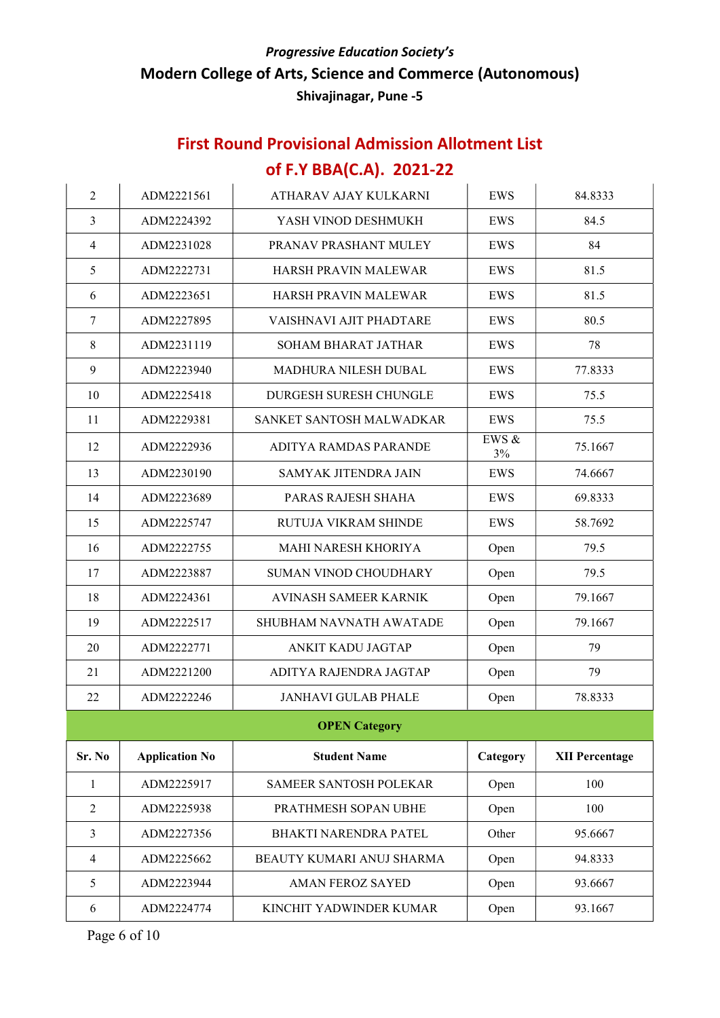## First Round Provisional Admission Allotment List of F.Y BBA(C.A). 2021-22

| $\overline{2}$ | ADM2221561            | <b>ATHARAV AJAY KULKARNI</b>   | <b>EWS</b>  | 84.8333               |
|----------------|-----------------------|--------------------------------|-------------|-----------------------|
| 3              | ADM2224392            | YASH VINOD DESHMUKH            | <b>EWS</b>  | 84.5                  |
| $\overline{4}$ | ADM2231028            | PRANAV PRASHANT MULEY          | EWS         | 84                    |
| 5              | ADM2222731            | HARSH PRAVIN MALEWAR           | EWS         | 81.5                  |
| 6              | ADM2223651            | HARSH PRAVIN MALEWAR           | EWS         | 81.5                  |
| 7              | ADM2227895            | VAISHNAVI AJIT PHADTARE        | EWS         | 80.5                  |
| 8              | ADM2231119            | <b>SOHAM BHARAT JATHAR</b>     | EWS         | 78                    |
| 9              | ADM2223940            | MADHURA NILESH DUBAL           | EWS         | 77.8333               |
| 10             | ADM2225418            | DURGESH SURESH CHUNGLE         | EWS         | 75.5                  |
| 11             | ADM2229381            | SANKET SANTOSH MALWADKAR       | EWS         | 75.5                  |
| 12             | ADM2222936            | ADITYA RAMDAS PARANDE          | EWS &<br>3% | 75.1667               |
| 13             | ADM2230190            | <b>SAMYAK JITENDRA JAIN</b>    | EWS         | 74.6667               |
| 14             | ADM2223689            | PARAS RAJESH SHAHA             | EWS         | 69.8333               |
| 15             | ADM2225747            | <b>RUTUJA VIKRAM SHINDE</b>    | EWS         | 58.7692               |
| 16             | ADM2222755            | MAHI NARESH KHORIYA            | Open        | 79.5                  |
| 17             | ADM2223887            | <b>SUMAN VINOD CHOUDHARY</b>   | Open        | 79.5                  |
| 18             | ADM2224361            | AVINASH SAMEER KARNIK          | Open        | 79.1667               |
| 19             | ADM2222517            | <b>SHUBHAM NAVNATH AWATADE</b> | Open        | 79.1667               |
| 20             | ADM2222771            | ANKIT KADU JAGTAP              | Open        | 79                    |
| 21             | ADM2221200            | ADITYA RAJENDRA JAGTAP         | Open        | 79                    |
| 22             | ADM2222246            | <b>JANHAVI GULAB PHALE</b>     | Open        | 78.8333               |
|                |                       | <b>OPEN Category</b>           |             |                       |
| Sr. No         | <b>Application No</b> | <b>Student Name</b>            | Category    | <b>XII Percentage</b> |
| 1              | ADM2225917            | <b>SAMEER SANTOSH POLEKAR</b>  | Open        | 100                   |
| $\overline{2}$ | ADM2225938            | PRATHMESH SOPAN UBHE           | Open        | 100                   |
| $\mathfrak{Z}$ | ADM2227356            | <b>BHAKTI NARENDRA PATEL</b>   | Other       | 95.6667               |
| $\overline{4}$ | ADM2225662            | BEAUTY KUMARI ANUJ SHARMA      | Open        | 94.8333               |
| 5              | ADM2223944            | <b>AMAN FEROZ SAYED</b>        | Open        | 93.6667               |
| 6              | ADM2224774            | KINCHIT YADWINDER KUMAR        | Open        | 93.1667               |

Page 6 of 10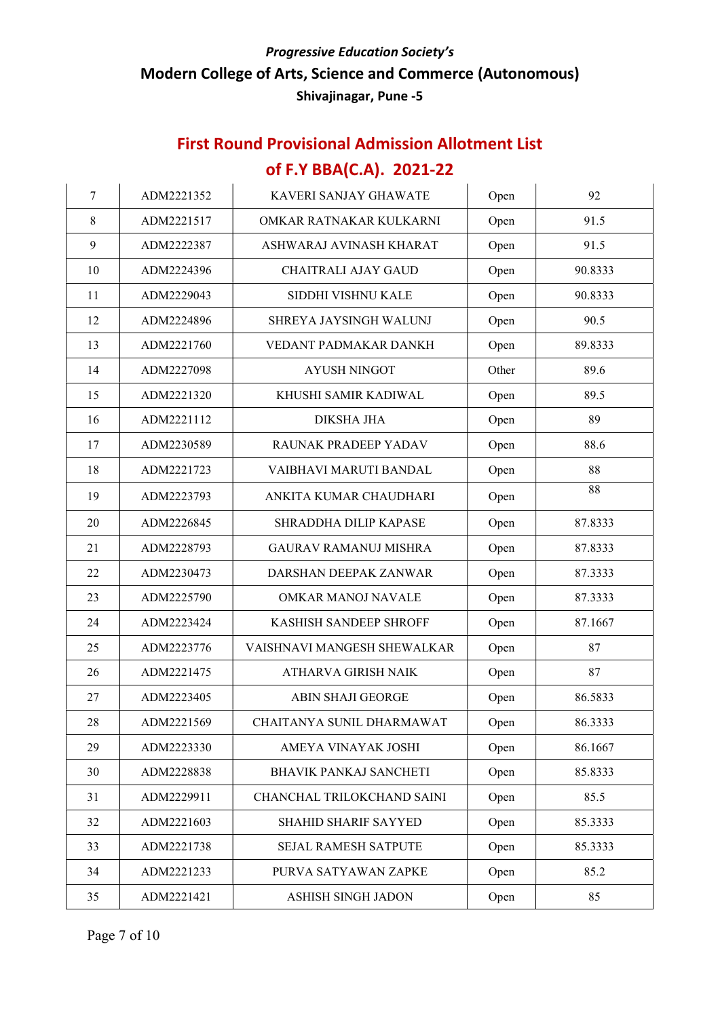| 7  | ADM2221352 | KAVERI SANJAY GHAWATE                | Open  | 92      |
|----|------------|--------------------------------------|-------|---------|
| 8  | ADM2221517 | OMKAR RATNAKAR KULKARNI              | Open  | 91.5    |
| 9  | ADM2222387 | ASHWARAJ AVINASH KHARAT              | Open  | 91.5    |
| 10 | ADM2224396 | <b>CHAITRALI AJAY GAUD</b>           | Open  | 90.8333 |
| 11 | ADM2229043 | SIDDHI VISHNU KALE                   | Open  | 90.8333 |
| 12 | ADM2224896 | SHREYA JAYSINGH WALUNJ               | Open  | 90.5    |
| 13 | ADM2221760 | VEDANT PADMAKAR DANKH                | Open  | 89.8333 |
| 14 | ADM2227098 | <b>AYUSH NINGOT</b>                  | Other | 89.6    |
| 15 | ADM2221320 | KHUSHI SAMIR KADIWAL                 | Open  | 89.5    |
| 16 | ADM2221112 | <b>DIKSHA JHA</b>                    | Open  | 89      |
| 17 | ADM2230589 | RAUNAK PRADEEP YADAV                 | Open  | 88.6    |
| 18 | ADM2221723 | VAIBHAVI MARUTI BANDAL               | Open  | 88      |
| 19 | ADM2223793 | ANKITA KUMAR CHAUDHARI<br>Open       |       | 88      |
| 20 | ADM2226845 | SHRADDHA DILIP KAPASE<br>Open        |       | 87.8333 |
| 21 | ADM2228793 | <b>GAURAV RAMANUJ MISHRA</b><br>Open |       | 87.8333 |
| 22 | ADM2230473 | DARSHAN DEEPAK ZANWAR<br>Open        |       | 87.3333 |
| 23 | ADM2225790 | OMKAR MANOJ NAVALE<br>Open           |       | 87.3333 |
| 24 | ADM2223424 | KASHISH SANDEEP SHROFF               | Open  | 87.1667 |
| 25 | ADM2223776 | VAISHNAVI MANGESH SHEWALKAR          | Open  | 87      |
| 26 | ADM2221475 | ATHARVA GIRISH NAIK                  | Open  | 87      |
| 27 | ADM2223405 | <b>ABIN SHAJI GEORGE</b>             | Open  | 86.5833 |
| 28 | ADM2221569 | CHAITANYA SUNIL DHARMAWAT            | Open  | 86.3333 |
| 29 | ADM2223330 | AMEYA VINAYAK JOSHI                  | Open  | 86.1667 |
| 30 | ADM2228838 | BHAVIK PANKAJ SANCHETI               | Open  | 85.8333 |
| 31 | ADM2229911 | CHANCHAL TRILOKCHAND SAINI           | Open  | 85.5    |
| 32 | ADM2221603 | SHAHID SHARIF SAYYED                 | Open  | 85.3333 |
| 33 | ADM2221738 | <b>SEJAL RAMESH SATPUTE</b>          | Open  | 85.3333 |
| 34 | ADM2221233 | PURVA SATYAWAN ZAPKE                 | Open  | 85.2    |
| 35 | ADM2221421 | ASHISH SINGH JADON                   | Open  | 85      |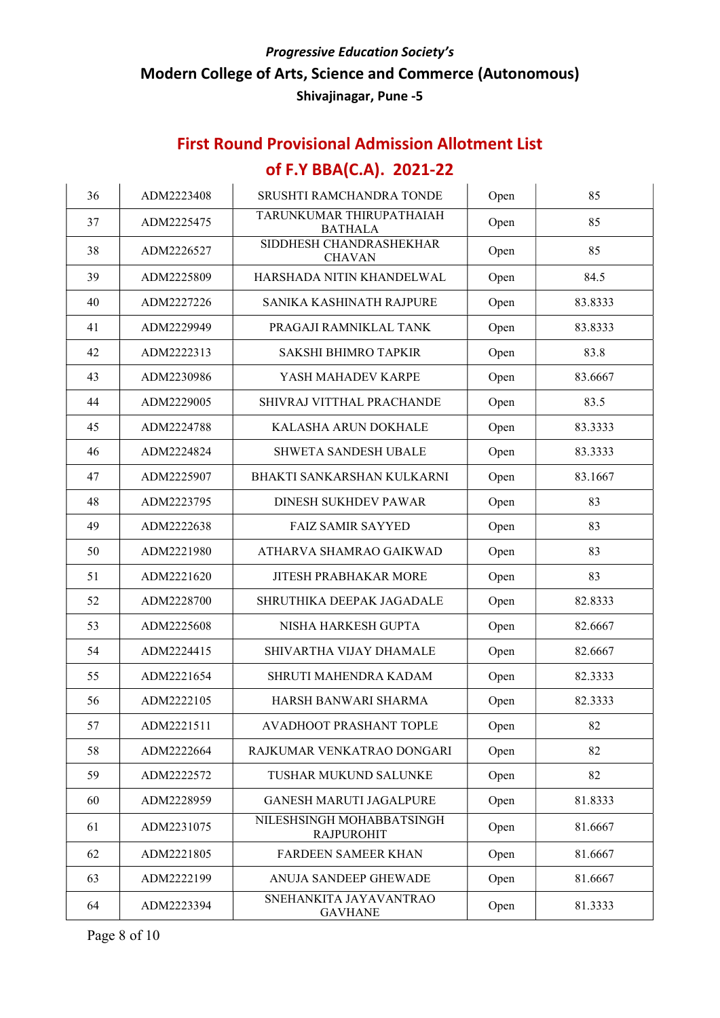### First Round Provisional Admission Allotment List

## of F.Y BBA(C.A). 2021-22

| 36 | ADM2223408 | SRUSHTI RAMCHANDRA TONDE                       | Open | 85      |
|----|------------|------------------------------------------------|------|---------|
| 37 | ADM2225475 | TARUNKUMAR THIRUPATHAIAH<br><b>BATHALA</b>     | Open | 85      |
| 38 | ADM2226527 | SIDDHESH CHANDRASHEKHAR<br><b>CHAVAN</b>       | Open | 85      |
| 39 | ADM2225809 | HARSHADA NITIN KHANDELWAL                      | Open | 84.5    |
| 40 | ADM2227226 | SANIKA KASHINATH RAJPURE                       | Open | 83.8333 |
| 41 | ADM2229949 | PRAGAJI RAMNIKLAL TANK                         | Open | 83.8333 |
| 42 | ADM2222313 | <b>SAKSHI BHIMRO TAPKIR</b>                    | Open | 83.8    |
| 43 | ADM2230986 | YASH MAHADEV KARPE                             | Open | 83.6667 |
| 44 | ADM2229005 | SHIVRAJ VITTHAL PRACHANDE                      | Open | 83.5    |
| 45 | ADM2224788 | KALASHA ARUN DOKHALE                           | Open | 83.3333 |
| 46 | ADM2224824 | <b>SHWETA SANDESH UBALE</b>                    | Open | 83.3333 |
| 47 | ADM2225907 | BHAKTI SANKARSHAN KULKARNI                     | Open | 83.1667 |
| 48 | ADM2223795 | <b>DINESH SUKHDEV PAWAR</b>                    | Open | 83      |
| 49 | ADM2222638 | <b>FAIZ SAMIR SAYYED</b>                       | Open | 83      |
| 50 | ADM2221980 | ATHARVA SHAMRAO GAIKWAD                        | Open | 83      |
| 51 | ADM2221620 | <b>JITESH PRABHAKAR MORE</b><br>Open           |      | 83      |
| 52 | ADM2228700 | SHRUTHIKA DEEPAK JAGADALE                      | Open | 82.8333 |
| 53 | ADM2225608 | NISHA HARKESH GUPTA                            | Open | 82.6667 |
| 54 | ADM2224415 | SHIVARTHA VIJAY DHAMALE                        | Open | 82.6667 |
| 55 | ADM2221654 | SHRUTI MAHENDRA KADAM                          | Open | 82.3333 |
| 56 | ADM2222105 | HARSH BANWARI SHARMA                           | Open | 82.3333 |
| 57 | ADM2221511 | AVADHOOT PRASHANT TOPLE                        | Open | 82      |
| 58 | ADM2222664 | RAJKUMAR VENKATRAO DONGARI                     | Open | 82      |
| 59 | ADM2222572 | TUSHAR MUKUND SALUNKE                          | Open | 82      |
| 60 | ADM2228959 | <b>GANESH MARUTI JAGALPURE</b>                 | Open | 81.8333 |
| 61 | ADM2231075 | NILESHSINGH MOHABBATSINGH<br><b>RAJPUROHIT</b> | Open | 81.6667 |
| 62 | ADM2221805 | FARDEEN SAMEER KHAN                            | Open | 81.6667 |
| 63 | ADM2222199 | ANUJA SANDEEP GHEWADE                          | Open | 81.6667 |
| 64 | ADM2223394 | SNEHANKITA JAYAVANTRAO<br><b>GAVHANE</b>       | Open | 81.3333 |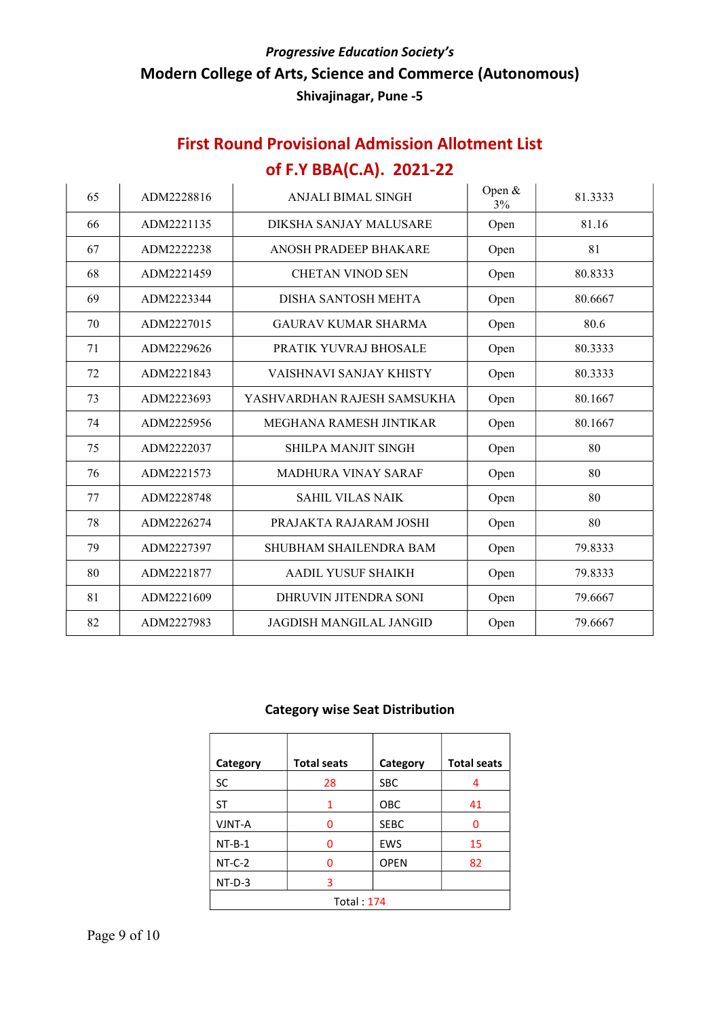## First Round Provisional Admission Allotment List of F.Y BBA(C.A). 2021-22

| 65 | ADM2228816 | <b>ANJALI BIMAL SINGH</b>   | Open &<br>3% | 81.3333 |
|----|------------|-----------------------------|--------------|---------|
| 66 | ADM2221135 | DIKSHA SANJAY MALUSARE      | Open         | 81.16   |
| 67 | ADM2222238 | ANOSH PRADEEP BHAKARE       | Open         | 81      |
| 68 | ADM2221459 | <b>CHETAN VINOD SEN</b>     | Open         | 80.8333 |
| 69 | ADM2223344 | DISHA SANTOSH MEHTA         | Open         | 80.6667 |
| 70 | ADM2227015 | <b>GAURAV KUMAR SHARMA</b>  | Open         | 80.6    |
| 71 | ADM2229626 | PRATIK YUVRAJ BHOSALE       | Open         | 80.3333 |
| 72 | ADM2221843 | VAISHNAVI SANJAY KHISTY     | Open         | 80.3333 |
| 73 | ADM2223693 | YASHVARDHAN RAJESH SAMSUKHA | Open         | 80.1667 |
| 74 | ADM2225956 | MEGHANA RAMESH JINTIKAR     | Open         | 80.1667 |
| 75 | ADM2222037 | <b>SHILPA MANJIT SINGH</b>  | Open         | 80      |
| 76 | ADM2221573 | <b>MADHURA VINAY SARAF</b>  | Open         | 80      |
| 77 | ADM2228748 | <b>SAHIL VILAS NAIK</b>     | Open         | 80      |
| 78 | ADM2226274 | PRAJAKTA RAJARAM JOSHI      | Open         | 80      |
| 79 | ADM2227397 | SHUBHAM SHAILENDRA BAM      | Open         | 79.8333 |
| 80 | ADM2221877 | <b>AADIL YUSUF SHAIKH</b>   | Open         | 79.8333 |
| 81 | ADM2221609 | DHRUVIN JITENDRA SONI       | Open         | 79.6667 |
| 82 | ADM2227983 | JAGDISH MANGILAL JANGID     | Open         | 79.6667 |

#### Category wise Seat Distribution

| Category     | <b>Total seats</b> | Category    | <b>Total seats</b> |  |
|--------------|--------------------|-------------|--------------------|--|
| SC.          | 28                 | <b>SBC</b>  | 4                  |  |
| ST           | 1                  | OBC         | 41                 |  |
| VJNT-A       | 0                  | <b>SEBC</b> | 0                  |  |
| $NT-B-1$     | 0                  | <b>EWS</b>  | 15                 |  |
| $NT-C-2$     | 0                  | <b>OPEN</b> | 82                 |  |
| $NT-D-3$     | 3                  |             |                    |  |
| Total: $174$ |                    |             |                    |  |